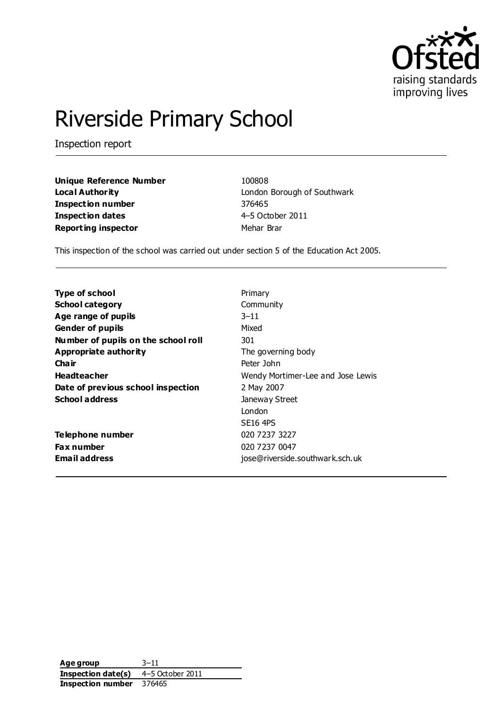

# Riverside Primary School

Inspection report

**Unique Reference Number** 100808 **Inspection number** 376465 **Inspection dates** 4–5 October 2011 **Reporting inspector** Mehar Brar

**Local Authority London Borough of Southwark** 

This inspection of the school was carried out under section 5 of the Education Act 2005.

| <b>Type of school</b>               | Primary                           |
|-------------------------------------|-----------------------------------|
| <b>School category</b>              | Community                         |
| Age range of pupils                 | $3 - 11$                          |
| <b>Gender of pupils</b>             | Mixed                             |
| Number of pupils on the school roll | 301                               |
| Appropriate authority               | The governing body                |
| Cha ir                              | Peter John                        |
| <b>Headteacher</b>                  | Wendy Mortimer-Lee and Jose Lewis |
| Date of previous school inspection  | 2 May 2007                        |
| <b>School address</b>               | Janeway Street                    |
|                                     | London                            |
|                                     | <b>SE16 4PS</b>                   |
| Telephone number                    | 020 7237 3227                     |
| <b>Fax number</b>                   | 020 7237 0047                     |
| <b>Email address</b>                | jose@riverside.southwark.sch.uk   |

**Age group** 3–11 **Inspection date(s)** 4–5 October 2011 **Inspection number** 376465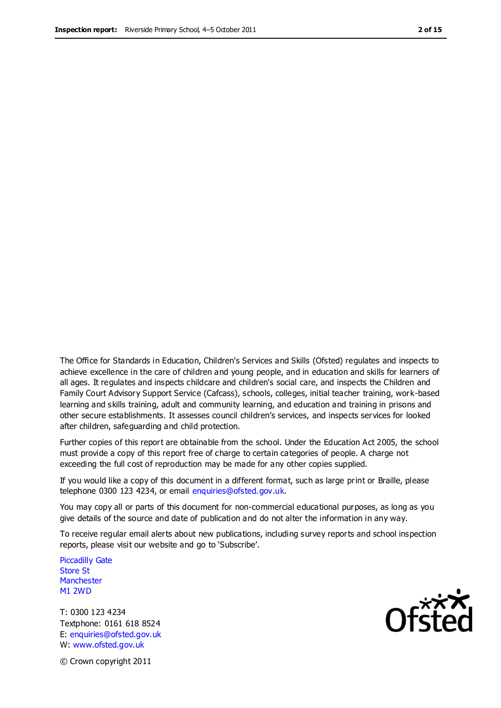The Office for Standards in Education, Children's Services and Skills (Ofsted) regulates and inspects to achieve excellence in the care of children and young people, and in education and skills for learners of all ages. It regulates and inspects childcare and children's social care, and inspects the Children and Family Court Advisory Support Service (Cafcass), schools, colleges, initial teacher training, work-based learning and skills training, adult and community learning, and education and training in prisons and other secure establishments. It assesses council children's services, and inspects services for looked after children, safeguarding and child protection.

Further copies of this report are obtainable from the school. Under the Education Act 2005, the school must provide a copy of this report free of charge to certain categories of people. A charge not exceeding the full cost of reproduction may be made for any other copies supplied.

If you would like a copy of this document in a different format, such as large print or Braille, please telephone 0300 123 4234, or email enquiries@ofsted.gov.uk.

You may copy all or parts of this document for non-commercial educational purposes, as long as you give details of the source and date of publication and do not alter the information in any way.

To receive regular email alerts about new publications, including survey reports and school inspection reports, please visit our website and go to 'Subscribe'.

Piccadilly Gate Store St **Manchester** M1 2WD

T: 0300 123 4234 Textphone: 0161 618 8524 E: enquiries@ofsted.gov.uk W: www.ofsted.gov.uk

**Ofsted** 

© Crown copyright 2011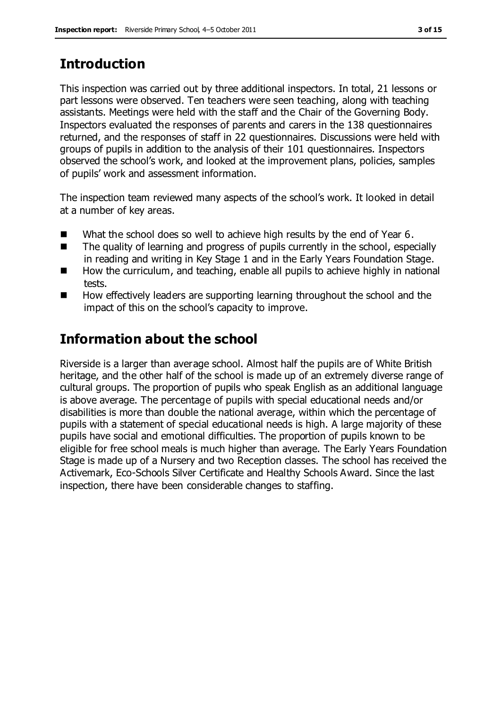# **Introduction**

This inspection was carried out by three additional inspectors. In total, 21 lessons or part lessons were observed. Ten teachers were seen teaching, along with teaching assistants. Meetings were held with the staff and the Chair of the Governing Body. Inspectors evaluated the responses of parents and carers in the 138 questionnaires returned, and the responses of staff in 22 questionnaires. Discussions were held with groups of pupils in addition to the analysis of their 101 questionnaires. Inspectors observed the school's work, and looked at the improvement plans, policies, samples of pupils' work and assessment information.

The inspection team reviewed many aspects of the school's work. It looked in detail at a number of key areas.

- What the school does so well to achieve high results by the end of Year 6.
- The quality of learning and progress of pupils currently in the school, especially in reading and writing in Key Stage 1 and in the Early Years Foundation Stage.
- How the curriculum, and teaching, enable all pupils to achieve highly in national tests.
- How effectively leaders are supporting learning throughout the school and the impact of this on the school's capacity to improve.

# **Information about the school**

Riverside is a larger than average school. Almost half the pupils are of White British heritage, and the other half of the school is made up of an extremely diverse range of cultural groups. The proportion of pupils who speak English as an additional language is above average. The percentage of pupils with special educational needs and/or disabilities is more than double the national average, within which the percentage of pupils with a statement of special educational needs is high. A large majority of these pupils have social and emotional difficulties. The proportion of pupils known to be eligible for free school meals is much higher than average. The Early Years Foundation Stage is made up of a Nursery and two Reception classes. The school has received the Activemark, Eco-Schools Silver Certificate and Healthy Schools Award. Since the last inspection, there have been considerable changes to staffing.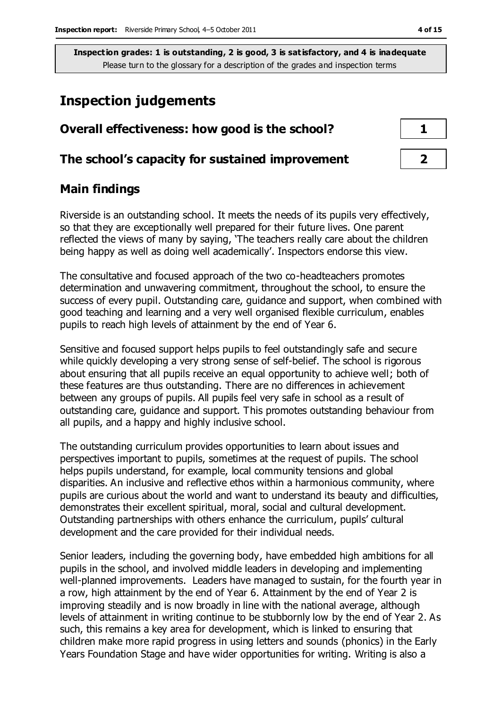# **Inspection judgements**

| Overall effectiveness: how good is the school?  |  |
|-------------------------------------------------|--|
| The school's capacity for sustained improvement |  |

# **Main findings**

Riverside is an outstanding school. It meets the needs of its pupils very effectively, so that they are exceptionally well prepared for their future lives. One parent reflected the views of many by saying, 'The teachers really care about the children being happy as well as doing well academically'. Inspectors endorse this view.

The consultative and focused approach of the two co-headteachers promotes determination and unwavering commitment, throughout the school, to ensure the success of every pupil. Outstanding care, guidance and support, when combined with good teaching and learning and a very well organised flexible curriculum, enables pupils to reach high levels of attainment by the end of Year 6.

Sensitive and focused support helps pupils to feel outstandingly safe and secure while quickly developing a very strong sense of self-belief. The school is rigorous about ensuring that all pupils receive an equal opportunity to achieve well; both of these features are thus outstanding. There are no differences in achievement between any groups of pupils. All pupils feel very safe in school as a result of outstanding care, guidance and support. This promotes outstanding behaviour from all pupils, and a happy and highly inclusive school.

The outstanding curriculum provides opportunities to learn about issues and perspectives important to pupils, sometimes at the request of pupils. The school helps pupils understand, for example, local community tensions and global disparities. An inclusive and reflective ethos within a harmonious community, where pupils are curious about the world and want to understand its beauty and difficulties, demonstrates their excellent spiritual, moral, social and cultural development. Outstanding partnerships with others enhance the curriculum, pupils' cultural development and the care provided for their individual needs.

Senior leaders, including the governing body, have embedded high ambitions for all pupils in the school, and involved middle leaders in developing and implementing well-planned improvements. Leaders have managed to sustain, for the fourth year in a row, high attainment by the end of Year 6. Attainment by the end of Year 2 is improving steadily and is now broadly in line with the national average, although levels of attainment in writing continue to be stubbornly low by the end of Year 2. As such, this remains a key area for development, which is linked to ensuring that children make more rapid progress in using letters and sounds (phonics) in the Early Years Foundation Stage and have wider opportunities for writing. Writing is also a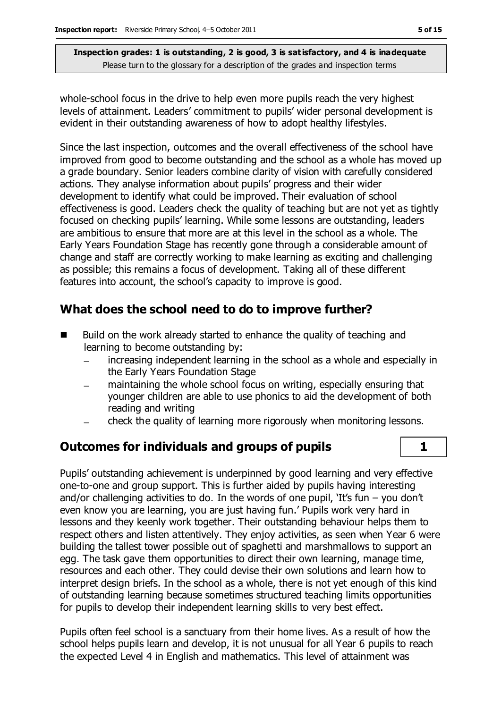whole-school focus in the drive to help even more pupils reach the very highest levels of attainment. Leaders' commitment to pupils' wider personal development is evident in their outstanding awareness of how to adopt healthy lifestyles.

Since the last inspection, outcomes and the overall effectiveness of the school have improved from good to become outstanding and the school as a whole has moved up a grade boundary. Senior leaders combine clarity of vision with carefully considered actions. They analyse information about pupils' progress and their wider development to identify what could be improved. Their evaluation of school effectiveness is good. Leaders check the quality of teaching but are not yet as tightly focused on checking pupils' learning. While some lessons are outstanding, leaders are ambitious to ensure that more are at this level in the school as a whole. The Early Years Foundation Stage has recently gone through a considerable amount of change and staff are correctly working to make learning as exciting and challenging as possible; this remains a focus of development. Taking all of these different features into account, the school's capacity to improve is good.

# **What does the school need to do to improve further?**

- Build on the work already started to enhance the quality of teaching and learning to become outstanding by:
	- increasing independent learning in the school as a whole and especially in  $\equiv$ the Early Years Foundation Stage
	- maintaining the whole school focus on writing, especially ensuring that younger children are able to use phonics to aid the development of both reading and writing
	- check the quality of learning more rigorously when monitoring lessons.  $\equiv$

# **Outcomes for individuals and groups of pupils 1**

Pupils' outstanding achievement is underpinned by good learning and very effective one-to-one and group support. This is further aided by pupils having interesting and/or challenging activities to do. In the words of one pupil, 'It's fun  $-$  you don't even know you are learning, you are just having fun.' Pupils work very hard in lessons and they keenly work together. Their outstanding behaviour helps them to respect others and listen attentively. They enjoy activities, as seen when Year 6 were building the tallest tower possible out of spaghetti and marshmallows to support an egg. The task gave them opportunities to direct their own learning, manage time, resources and each other. They could devise their own solutions and learn how to interpret design briefs. In the school as a whole, there is not yet enough of this kind of outstanding learning because sometimes structured teaching limits opportunities for pupils to develop their independent learning skills to very best effect.

Pupils often feel school is a sanctuary from their home lives. As a result of how the school helps pupils learn and develop, it is not unusual for all Year 6 pupils to reach the expected Level 4 in English and mathematics. This level of attainment was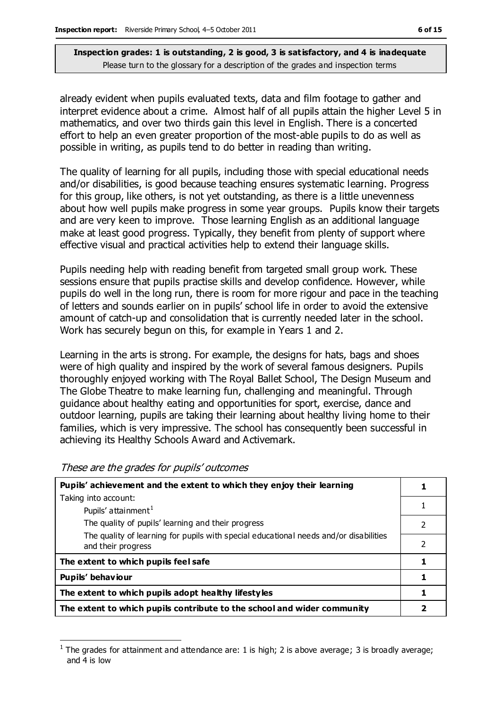already evident when pupils evaluated texts, data and film footage to gather and interpret evidence about a crime. Almost half of all pupils attain the higher Level 5 in mathematics, and over two thirds gain this level in English. There is a concerted effort to help an even greater proportion of the most-able pupils to do as well as possible in writing, as pupils tend to do better in reading than writing.

The quality of learning for all pupils, including those with special educational needs and/or disabilities, is good because teaching ensures systematic learning. Progress for this group, like others, is not yet outstanding, as there is a little unevenness about how well pupils make progress in some year groups. Pupils know their targets and are very keen to improve. Those learning English as an additional language make at least good progress. Typically, they benefit from plenty of support where effective visual and practical activities help to extend their language skills.

Pupils needing help with reading benefit from targeted small group work. These sessions ensure that pupils practise skills and develop confidence. However, while pupils do well in the long run, there is room for more rigour and pace in the teaching of letters and sounds earlier on in pupils' school life in order to avoid the extensive amount of catch-up and consolidation that is currently needed later in the school. Work has securely begun on this, for example in Years 1 and 2.

Learning in the arts is strong. For example, the designs for hats, bags and shoes were of high quality and inspired by the work of several famous designers. Pupils thoroughly enjoyed working with The Royal Ballet School, The Design Museum and The Globe Theatre to make learning fun, challenging and meaningful. Through guidance about healthy eating and opportunities for sport, exercise, dance and outdoor learning, pupils are taking their learning about healthy living home to their families, which is very impressive. The school has consequently been successful in achieving its Healthy Schools Award and Activemark.

| Pupils' achievement and the extent to which they enjoy their learning                                       |               |
|-------------------------------------------------------------------------------------------------------------|---------------|
| Taking into account:                                                                                        |               |
| Pupils' attainment <sup>1</sup>                                                                             |               |
| The quality of pupils' learning and their progress                                                          | $\mathcal{P}$ |
| The quality of learning for pupils with special educational needs and/or disabilities<br>and their progress | 2             |
| The extent to which pupils feel safe                                                                        |               |
| Pupils' behaviour                                                                                           |               |
| The extent to which pupils adopt healthy lifestyles                                                         |               |
| The extent to which pupils contribute to the school and wider community                                     | 2             |

These are the grades for pupils' outcomes

 $\overline{a}$ 

<sup>1</sup> The grades for attainment and attendance are: 1 is high; 2 is above average; 3 is broadly average; and 4 is low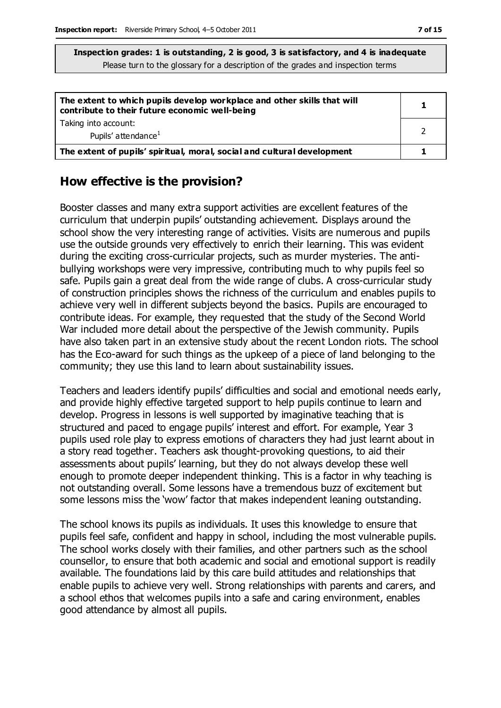| The extent to which pupils develop workplace and other skills that will<br>contribute to their future economic well-being |  |
|---------------------------------------------------------------------------------------------------------------------------|--|
| Taking into account:<br>Pupils' attendance <sup>1</sup>                                                                   |  |
| The extent of pupils' spiritual, moral, social and cultural development                                                   |  |

### **How effective is the provision?**

Booster classes and many extra support activities are excellent features of the curriculum that underpin pupils' outstanding achievement. Displays around the school show the very interesting range of activities. Visits are numerous and pupils use the outside grounds very effectively to enrich their learning. This was evident during the exciting cross-curricular projects, such as murder mysteries. The antibullying workshops were very impressive, contributing much to why pupils feel so safe. Pupils gain a great deal from the wide range of clubs. A cross-curricular study of construction principles shows the richness of the curriculum and enables pupils to achieve very well in different subjects beyond the basics. Pupils are encouraged to contribute ideas. For example, they requested that the study of the Second World War included more detail about the perspective of the Jewish community. Pupils have also taken part in an extensive study about the recent London riots. The school has the Eco-award for such things as the upkeep of a piece of land belonging to the community; they use this land to learn about sustainability issues.

Teachers and leaders identify pupils' difficulties and social and emotional needs early, and provide highly effective targeted support to help pupils continue to learn and develop. Progress in lessons is well supported by imaginative teaching that is structured and paced to engage pupils' interest and effort. For example, Year 3 pupils used role play to express emotions of characters they had just learnt about in a story read together. Teachers ask thought-provoking questions, to aid their assessments about pupils' learning, but they do not always develop these well enough to promote deeper independent thinking. This is a factor in why teaching is not outstanding overall. Some lessons have a tremendous buzz of excitement but some lessons miss the 'wow' factor that makes independent leaning outstanding.

The school knows its pupils as individuals. It uses this knowledge to ensure that pupils feel safe, confident and happy in school, including the most vulnerable pupils. The school works closely with their families, and other partners such as the school counsellor, to ensure that both academic and social and emotional support is readily available. The foundations laid by this care build attitudes and relationships that enable pupils to achieve very well. Strong relationships with parents and carers, and a school ethos that welcomes pupils into a safe and caring environment, enables good attendance by almost all pupils.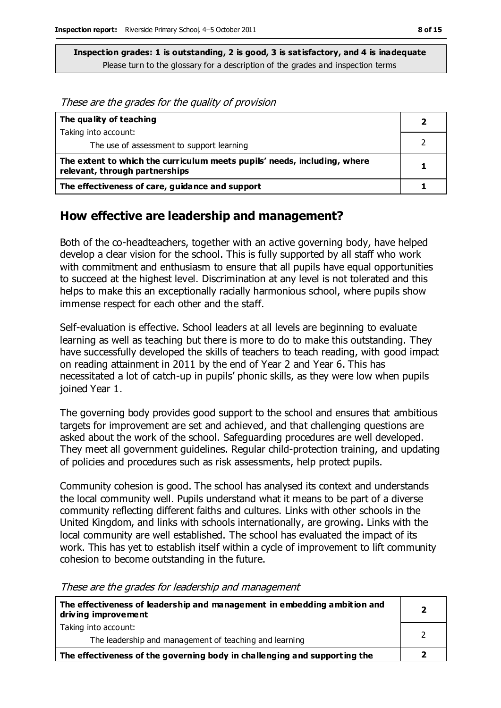These are the grades for the quality of provision

| The quality of teaching                                                                                    |  |
|------------------------------------------------------------------------------------------------------------|--|
| Taking into account:                                                                                       |  |
| The use of assessment to support learning                                                                  |  |
| The extent to which the curriculum meets pupils' needs, including, where<br>relevant, through partnerships |  |
| The effectiveness of care, guidance and support                                                            |  |

### **How effective are leadership and management?**

Both of the co-headteachers, together with an active governing body, have helped develop a clear vision for the school. This is fully supported by all staff who work with commitment and enthusiasm to ensure that all pupils have equal opportunities to succeed at the highest level. Discrimination at any level is not tolerated and this helps to make this an exceptionally racially harmonious school, where pupils show immense respect for each other and the staff.

Self-evaluation is effective. School leaders at all levels are beginning to evaluate learning as well as teaching but there is more to do to make this outstanding. They have successfully developed the skills of teachers to teach reading, with good impact on reading attainment in 2011 by the end of Year 2 and Year 6. This has necessitated a lot of catch-up in pupils' phonic skills, as they were low when pupils joined Year 1.

The governing body provides good support to the school and ensures that ambitious targets for improvement are set and achieved, and that challenging questions are asked about the work of the school. Safeguarding procedures are well developed. They meet all government guidelines. Regular child-protection training, and updating of policies and procedures such as risk assessments, help protect pupils.

Community cohesion is good. The school has analysed its context and understands the local community well. Pupils understand what it means to be part of a diverse community reflecting different faiths and cultures. Links with other schools in the United Kingdom, and links with schools internationally, are growing. Links with the local community are well established. The school has evaluated the impact of its work. This has yet to establish itself within a cycle of improvement to lift community cohesion to become outstanding in the future.

| The effectiveness of leadership and management in embedding ambition and<br>driving improvement | ּ |
|-------------------------------------------------------------------------------------------------|---|
| Taking into account:                                                                            |   |
| The leadership and management of teaching and learning                                          |   |
| The effectiveness of the governing body in challenging and supporting the                       |   |

These are the grades for leadership and management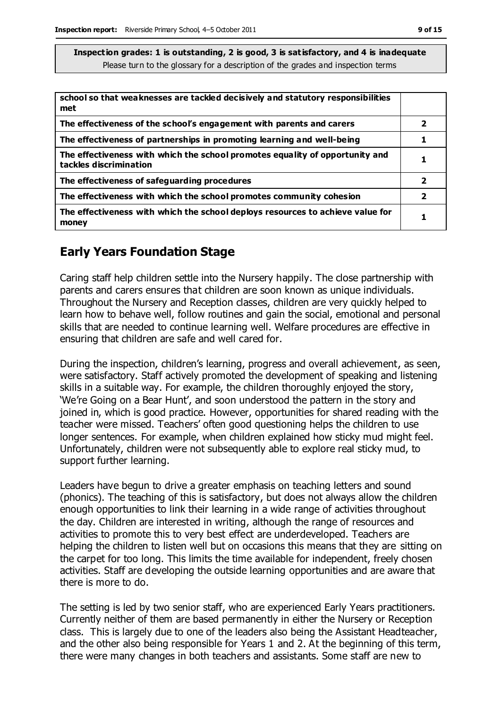| school so that weaknesses are tackled decisively and statutory responsibilities<br>met                 |                         |
|--------------------------------------------------------------------------------------------------------|-------------------------|
| The effectiveness of the school's engagement with parents and carers                                   | $\mathbf{2}$            |
| The effectiveness of partnerships in promoting learning and well-being                                 |                         |
| The effectiveness with which the school promotes equality of opportunity and<br>tackles discrimination |                         |
| The effectiveness of safeguarding procedures                                                           | $\overline{\mathbf{2}}$ |
| The effectiveness with which the school promotes community cohesion                                    | 2                       |
| The effectiveness with which the school deploys resources to achieve value for<br>money                |                         |

# **Early Years Foundation Stage**

Caring staff help children settle into the Nursery happily. The close partnership with parents and carers ensures that children are soon known as unique individuals. Throughout the Nursery and Reception classes, children are very quickly helped to learn how to behave well, follow routines and gain the social, emotional and personal skills that are needed to continue learning well. Welfare procedures are effective in ensuring that children are safe and well cared for.

During the inspection, children's learning, progress and overall achievement, as seen, were satisfactory. Staff actively promoted the development of speaking and listening skills in a suitable way. For example, the children thoroughly enjoyed the story, 'We're Going on a Bear Hunt', and soon understood the pattern in the story and joined in, which is good practice. However, opportunities for shared reading with the teacher were missed. Teachers' often good questioning helps the children to use longer sentences. For example, when children explained how sticky mud might feel. Unfortunately, children were not subsequently able to explore real sticky mud, to support further learning.

Leaders have begun to drive a greater emphasis on teaching letters and sound (phonics). The teaching of this is satisfactory, but does not always allow the children enough opportunities to link their learning in a wide range of activities throughout the day. Children are interested in writing, although the range of resources and activities to promote this to very best effect are underdeveloped. Teachers are helping the children to listen well but on occasions this means that they are sitting on the carpet for too long. This limits the time available for independent, freely chosen activities. Staff are developing the outside learning opportunities and are aware that there is more to do.

The setting is led by two senior staff, who are experienced Early Years practitioners. Currently neither of them are based permanently in either the Nursery or Reception class. This is largely due to one of the leaders also being the Assistant Headteacher, and the other also being responsible for Years 1 and 2. At the beginning of this term, there were many changes in both teachers and assistants. Some staff are new to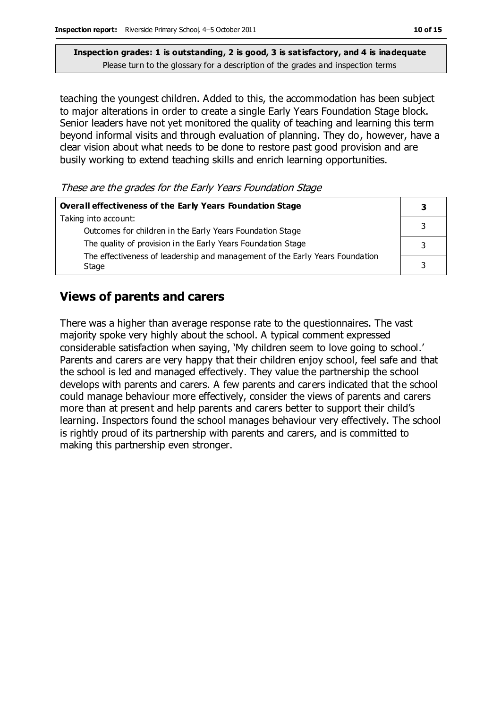teaching the youngest children. Added to this, the accommodation has been subject to major alterations in order to create a single Early Years Foundation Stage block. Senior leaders have not yet monitored the quality of teaching and learning this term beyond informal visits and through evaluation of planning. They do, however, have a clear vision about what needs to be done to restore past good provision and are busily working to extend teaching skills and enrich learning opportunities.

#### These are the grades for the Early Years Foundation Stage

| Overall effectiveness of the Early Years Foundation Stage                    |  |
|------------------------------------------------------------------------------|--|
| Taking into account:                                                         |  |
| Outcomes for children in the Early Years Foundation Stage                    |  |
| The quality of provision in the Early Years Foundation Stage                 |  |
| The effectiveness of leadership and management of the Early Years Foundation |  |
| Stage                                                                        |  |

### **Views of parents and carers**

There was a higher than average response rate to the questionnaires. The vast majority spoke very highly about the school. A typical comment expressed considerable satisfaction when saying, 'My children seem to love going to school.' Parents and carers are very happy that their children enjoy school, feel safe and that the school is led and managed effectively. They value the partnership the school develops with parents and carers. A few parents and carers indicated that the school could manage behaviour more effectively, consider the views of parents and carers more than at present and help parents and carers better to support their child's learning. Inspectors found the school manages behaviour very effectively. The school is rightly proud of its partnership with parents and carers, and is committed to making this partnership even stronger.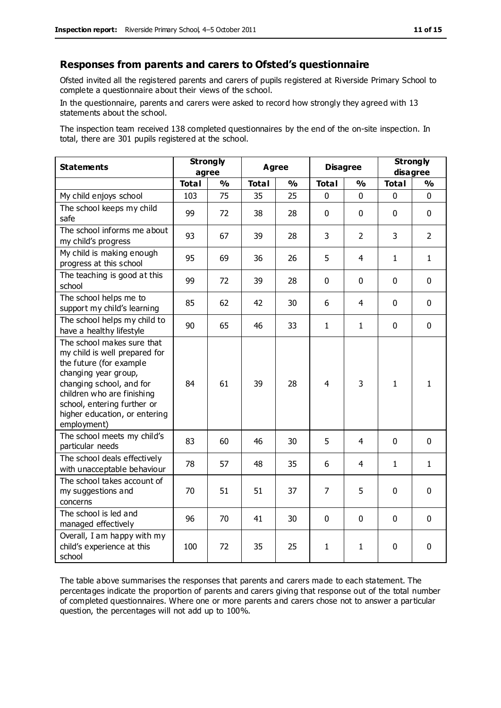#### **Responses from parents and carers to Ofsted's questionnaire**

Ofsted invited all the registered parents and carers of pupils registered at Riverside Primary School to complete a questionnaire about their views of the school.

In the questionnaire, parents and carers were asked to record how strongly they agreed with 13 statements about the school.

The inspection team received 138 completed questionnaires by the end of the on-site inspection. In total, there are 301 pupils registered at the school.

| <b>Statements</b>                                                                                                                                                                                                                                       | <b>Strongly</b><br>agree |               | Agree        |               | <b>Disagree</b> |                | <b>Strongly</b><br>disagree |                |
|---------------------------------------------------------------------------------------------------------------------------------------------------------------------------------------------------------------------------------------------------------|--------------------------|---------------|--------------|---------------|-----------------|----------------|-----------------------------|----------------|
|                                                                                                                                                                                                                                                         | <b>Total</b>             | $\frac{1}{2}$ | <b>Total</b> | $\frac{1}{2}$ | <b>Total</b>    | $\frac{1}{2}$  | <b>Total</b>                | $\frac{1}{2}$  |
| My child enjoys school                                                                                                                                                                                                                                  | 103                      | 75            | 35           | 25            | 0               | $\mathbf 0$    | $\mathbf 0$                 | $\mathbf 0$    |
| The school keeps my child<br>safe                                                                                                                                                                                                                       | 99                       | 72            | 38           | 28            | $\mathbf 0$     | $\mathbf 0$    | $\mathbf 0$                 | $\mathbf 0$    |
| The school informs me about<br>my child's progress                                                                                                                                                                                                      | 93                       | 67            | 39           | 28            | 3               | $\overline{2}$ | 3                           | $\overline{2}$ |
| My child is making enough<br>progress at this school                                                                                                                                                                                                    | 95                       | 69            | 36           | 26            | 5               | 4              | $\mathbf{1}$                | $\mathbf{1}$   |
| The teaching is good at this<br>school                                                                                                                                                                                                                  | 99                       | 72            | 39           | 28            | 0               | $\mathbf 0$    | $\mathbf 0$                 | $\mathbf 0$    |
| The school helps me to<br>support my child's learning                                                                                                                                                                                                   | 85                       | 62            | 42           | 30            | 6               | 4              | $\Omega$                    | $\mathbf 0$    |
| The school helps my child to<br>have a healthy lifestyle                                                                                                                                                                                                | 90                       | 65            | 46           | 33            | $\mathbf{1}$    | $\mathbf{1}$   | $\mathbf 0$                 | $\mathbf 0$    |
| The school makes sure that<br>my child is well prepared for<br>the future (for example<br>changing year group,<br>changing school, and for<br>children who are finishing<br>school, entering further or<br>higher education, or entering<br>employment) | 84                       | 61            | 39           | 28            | $\overline{4}$  | 3              | $\mathbf{1}$                | $\mathbf{1}$   |
| The school meets my child's<br>particular needs                                                                                                                                                                                                         | 83                       | 60            | 46           | 30            | 5               | 4              | $\mathbf 0$                 | $\mathbf 0$    |
| The school deals effectively<br>with unacceptable behaviour                                                                                                                                                                                             | 78                       | 57            | 48           | 35            | 6               | 4              | 1                           | $\mathbf{1}$   |
| The school takes account of<br>my suggestions and<br>concerns                                                                                                                                                                                           | 70                       | 51            | 51           | 37            | $\overline{7}$  | 5              | $\mathbf 0$                 | $\mathbf 0$    |
| The school is led and<br>managed effectively                                                                                                                                                                                                            | 96                       | 70            | 41           | 30            | $\pmb{0}$       | $\mathbf 0$    | $\mathbf 0$                 | $\mathbf 0$    |
| Overall, I am happy with my<br>child's experience at this<br>school                                                                                                                                                                                     | 100                      | 72            | 35           | 25            | 1               | 1              | $\mathbf 0$                 | 0              |

The table above summarises the responses that parents and carers made to each statement. The percentages indicate the proportion of parents and carers giving that response out of the total number of completed questionnaires. Where one or more parents and carers chose not to answer a particular question, the percentages will not add up to 100%.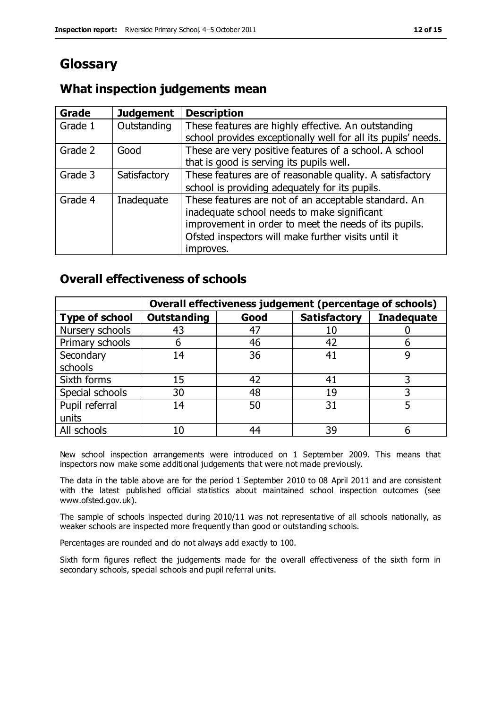# **Glossary**

# **What inspection judgements mean**

| <b>Grade</b> | <b>Judgement</b> | <b>Description</b>                                            |
|--------------|------------------|---------------------------------------------------------------|
| Grade 1      | Outstanding      | These features are highly effective. An outstanding           |
|              |                  | school provides exceptionally well for all its pupils' needs. |
| Grade 2      | Good             | These are very positive features of a school. A school        |
|              |                  | that is good is serving its pupils well.                      |
| Grade 3      | Satisfactory     | These features are of reasonable quality. A satisfactory      |
|              |                  | school is providing adequately for its pupils.                |
| Grade 4      | Inadequate       | These features are not of an acceptable standard. An          |
|              |                  | inadequate school needs to make significant                   |
|              |                  | improvement in order to meet the needs of its pupils.         |
|              |                  | Ofsted inspectors will make further visits until it           |
|              |                  | improves.                                                     |

### **Overall effectiveness of schools**

|                       |                    |      | Overall effectiveness judgement (percentage of schools) |                   |
|-----------------------|--------------------|------|---------------------------------------------------------|-------------------|
| <b>Type of school</b> | <b>Outstanding</b> | Good | <b>Satisfactory</b>                                     | <b>Inadequate</b> |
| Nursery schools       | 43                 | 47   |                                                         |                   |
| Primary schools       | h                  | 46   | 42                                                      |                   |
| Secondary             | 14                 | 36   | 41                                                      |                   |
| schools               |                    |      |                                                         |                   |
| Sixth forms           | 15                 | 42   | 41                                                      | 3                 |
| Special schools       | 30                 | 48   | 19                                                      |                   |
| Pupil referral        | 14                 | 50   | 31                                                      |                   |
| units                 |                    |      |                                                         |                   |
| All schools           | 10                 | 44   | 39                                                      |                   |

New school inspection arrangements were introduced on 1 September 2009. This means that inspectors now make some additional judgements that were not made previously.

The data in the table above are for the period 1 September 2010 to 08 April 2011 and are consistent with the latest published official statistics about maintained school inspection outcomes (see www.ofsted.gov.uk).

The sample of schools inspected during 2010/11 was not representative of all schools nationally, as weaker schools are inspected more frequently than good or outstanding schools.

Percentages are rounded and do not always add exactly to 100.

Sixth form figures reflect the judgements made for the overall effectiveness of the sixth form in secondary schools, special schools and pupil referral units.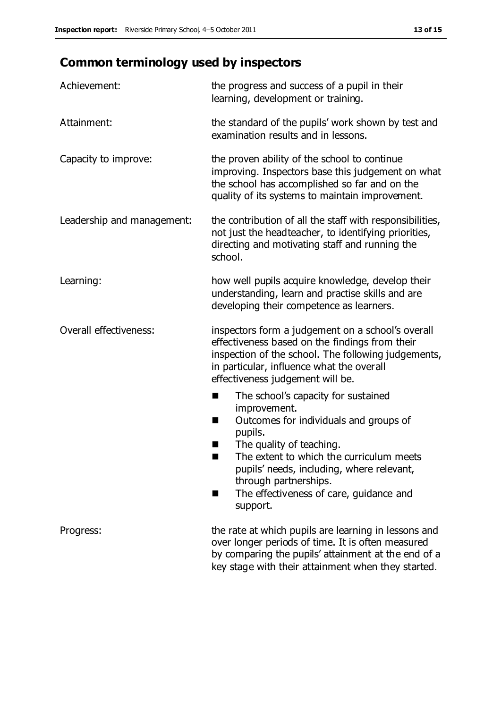# **Common terminology used by inspectors**

| Achievement:               | the progress and success of a pupil in their<br>learning, development or training.                                                                                                                                                                                                                                                |  |  |
|----------------------------|-----------------------------------------------------------------------------------------------------------------------------------------------------------------------------------------------------------------------------------------------------------------------------------------------------------------------------------|--|--|
| Attainment:                | the standard of the pupils' work shown by test and<br>examination results and in lessons.                                                                                                                                                                                                                                         |  |  |
| Capacity to improve:       | the proven ability of the school to continue<br>improving. Inspectors base this judgement on what<br>the school has accomplished so far and on the<br>quality of its systems to maintain improvement.                                                                                                                             |  |  |
| Leadership and management: | the contribution of all the staff with responsibilities,<br>not just the headteacher, to identifying priorities,<br>directing and motivating staff and running the<br>school.                                                                                                                                                     |  |  |
| Learning:                  | how well pupils acquire knowledge, develop their<br>understanding, learn and practise skills and are<br>developing their competence as learners.                                                                                                                                                                                  |  |  |
| Overall effectiveness:     | inspectors form a judgement on a school's overall<br>effectiveness based on the findings from their<br>inspection of the school. The following judgements,<br>in particular, influence what the overall<br>effectiveness judgement will be.                                                                                       |  |  |
|                            | The school's capacity for sustained<br>improvement.<br>Outcomes for individuals and groups of<br>H<br>pupils.<br>The quality of teaching.<br>ш<br>The extent to which the curriculum meets<br>٠<br>pupils' needs, including, where relevant,<br>through partnerships.<br>The effectiveness of care, guidance and<br>H<br>support. |  |  |
| Progress:                  | the rate at which pupils are learning in lessons and<br>over longer periods of time. It is often measured<br>by comparing the pupils' attainment at the end of a<br>key stage with their attainment when they started.                                                                                                            |  |  |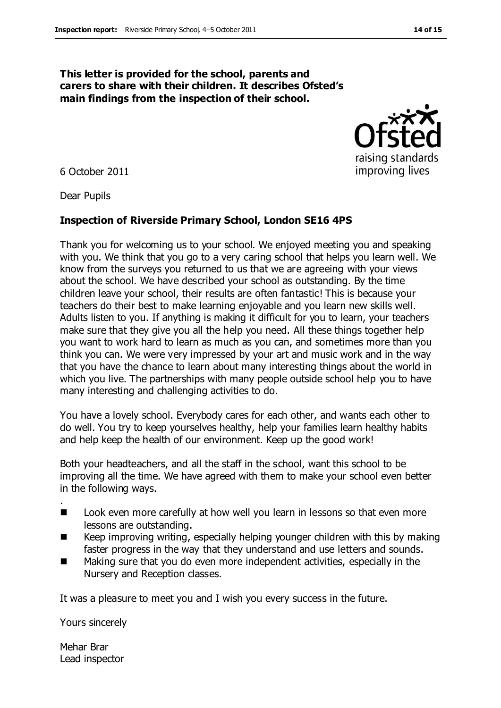#### **This letter is provided for the school, parents and carers to share with their children. It describes Ofsted's main findings from the inspection of their school.**

6 October 2011

Dear Pupils

#### **Inspection of Riverside Primary School, London SE16 4PS**

Thank you for welcoming us to your school. We enjoyed meeting you and speaking with you. We think that you go to a very caring school that helps you learn well. We know from the surveys you returned to us that we are agreeing with your views about the school. We have described your school as outstanding. By the time children leave your school, their results are often fantastic! This is because your teachers do their best to make learning enjoyable and you learn new skills well. Adults listen to you. If anything is making it difficult for you to learn, your teachers make sure that they give you all the help you need. All these things together help you want to work hard to learn as much as you can, and sometimes more than you think you can. We were very impressed by your art and music work and in the way that you have the chance to learn about many interesting things about the world in which you live. The partnerships with many people outside school help you to have many interesting and challenging activities to do.

You have a lovely school. Everybody cares for each other, and wants each other to do well. You try to keep yourselves healthy, help your families learn healthy habits and help keep the health of our environment. Keep up the good work!

Both your headteachers, and all the staff in the school, want this school to be improving all the time. We have agreed with them to make your school even better in the following ways.

- Look even more carefully at how well you learn in lessons so that even more lessons are outstanding.
- Keep improving writing, especially helping younger children with this by making faster progress in the way that they understand and use letters and sounds.
- Making sure that you do even more independent activities, especially in the Nursery and Reception classes.

It was a pleasure to meet you and I wish you every success in the future.

Yours sincerely

.

Mehar Brar Lead inspector